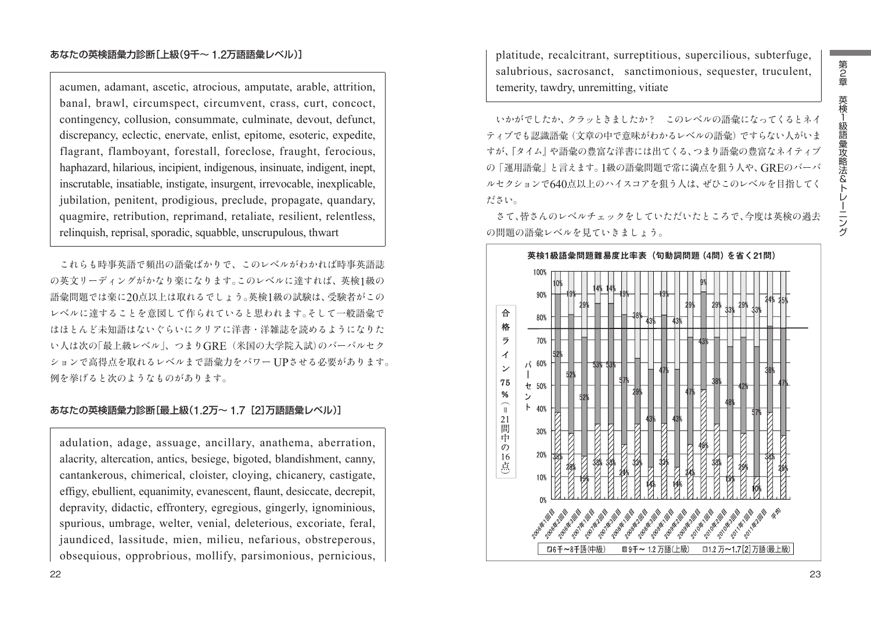# あなたの英検語彙力診断[上級(**9**千~ **1.2**万語語彙レベル)]

acumen, adamant, ascetic, atrocious, amputate, arable, attrition, banal, brawl, circumspect, circumvent, crass, curt, concoct, contingency, collusion, consummate, culminate, devout, defunct, discrepancy, eclectic, enervate, enlist, epitome, esoteric, expedite, flagrant, flamboyant, forestall, foreclose, fraught, ferocious, haphazard, hilarious, incipient, indigenous, insinuate, indigent, inept, inscrutable, insatiable, instigate, insurgent, irrevocable, inexplicable, jubilation, penitent, prodigious, preclude, propagate, quandary, quagmire, retribution, reprimand, retaliate, resilient, relentless, relinquish, reprisal, sporadic, squabble, unscrupulous, thwart

これらも時事英語で頻出の語彙ばかりで、このレベルがわかれば時事英語誌 の英文リーディングがかなり楽になります。このレベルに達すれば、英検1級の 語彙問題では楽に20点以上は取れるでしょう。英検1級の試験は、受験者がこの レベルに達することを意図して作られていると思われます。そして一般語彙で はほとんど未知語はないぐらいにクリアに洋書・洋雑誌を読めるようになりた い人は次の「最上級レベル」、つまりGRE(米国の大学院入試)のバーバルセク ションで高得点を取れるレベルまで語彙力をパワー UPさせる必要があります。 例を挙げると次のようなものがあります。

## あなたの英検語彙力診断[最上級(**1.2**万~ **1.7**[**2**]万語語彙レベル)]

adulation, adage, assuage, ancillary, anathema, aberration, alacrity, altercation, antics, besiege, bigoted, blandishment, canny, cantankerous, chimerical, cloister, cloying, chicanery, castigate, effigy, ebullient, equanimity, evanescent, flaunt, desiccate, decrepit, depravity, didactic, effrontery, egregious, gingerly, ignominious, spurious, umbrage, welter, venial, deleterious, excoriate, feral, jaundiced, lassitude, mien, milieu, nefarious, obstreperous, obsequious, opprobrious, mollify, parsimonious, pernicious,

platitude, recalcitrant, surreptitious, supercilious, subterfuge, salubrious, sacrosanct, sanctimonious, sequester, truculent, temerity, tawdry, unremitting, vitiate

いかがでしたか、クラッときましたか? このレベルの語彙になってくるとネイ ティブでも認識語彙(文章の中で意味がわかるレベルの語彙)ですらない人がいま すが、『タイム』や語彙の豊富な洋書には出てくる、つまり語彙の豊富なネイティブ の「運用語彙」と言えます。1級の語彙問題で常に満点を狙う人や、GREのバーバ ルセクションで640点以上のハイスコアを狙う人は、ぜひこのレベルを目指してく ださい。

さて、皆さんのレベルチェックをしていただいたところで、今度は英検の過去 の問題の語彙レベルを見ていきましょう。